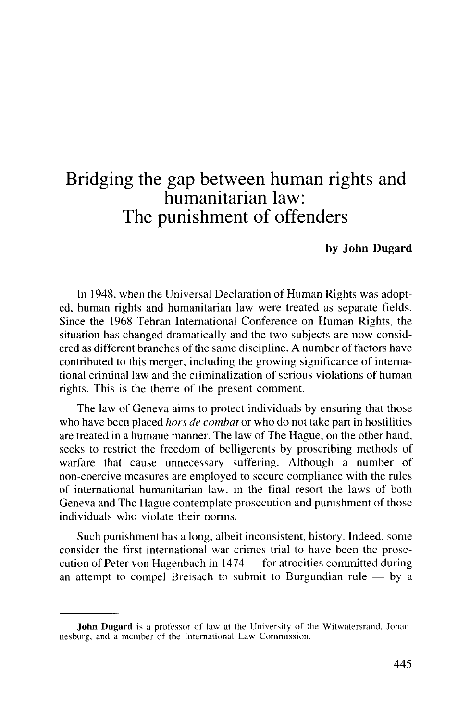## Bridging the gap between human rights and humanitarian law: The punishment of offenders

## **by John Dugard**

In 1948, when the Universal Declaration of Human Rights was adopted, human rights and humanitarian law were treated as separate fields. Since the 1968 Tehran International Conference on Human Rights, the situation has changed dramatically and the two subjects are now considered as different branches of the same discipline. A number of factors have contributed to this merger, including the growing significance of international criminal law and the criminalization of serious violations of human rights. This is the theme of the present comment.

The law of Geneva aims to protect individuals by ensuring that those who have been placed *hors de combat* or who do not take part in hostilities are treated in a humane manner. The law of The Hague, on the other hand, seeks to restrict the freedom of belligerents by proscribing methods of warfare that cause unnecessary suffering. Although a number of non-coercive measures are employed to secure compliance with the rules of international humanitarian law, in the final resort the laws of both Geneva and The Hague contemplate prosecution and punishment of those individuals who violate their norms.

Such punishment has a long, albeit inconsistent, history. Indeed, some consider the first international war crimes trial to have been the prosecution of Peter von Hagenbach in 1474 — for atrocities committed during an attempt to compel Breisach to submit to Burgundian rule — by a

**John Dugard** is a professor of law at the University of the Witwatersrand, Johannesburg, and a member of the International Law Commission.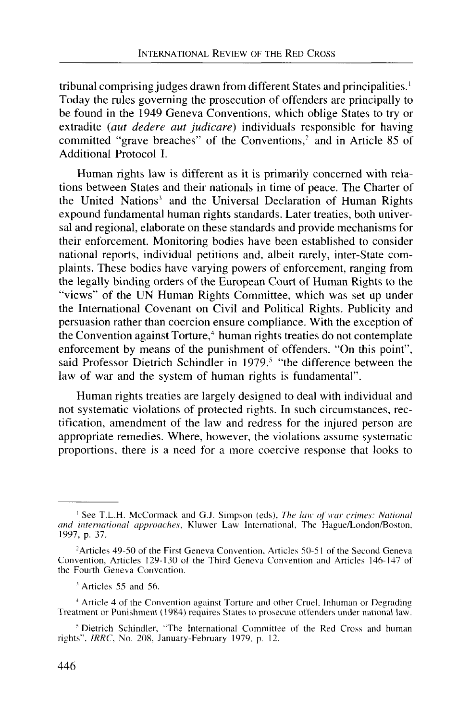tribunal comprising judges drawn from different States and principalities.<sup>1</sup> Today the rules governing the prosecution of offenders are principally to be found in the 1949 Geneva Conventions, which oblige States to try or extradite *(aut dedere aut judicare)* individuals responsible for having committed "grave breaches" of the Conventions,<sup>2</sup> and in Article 85 of Additional Protocol I.

Human rights law is different as it is primarily concerned with relations between States and their nationals in time of peace. The Charter of the United Nations<sup>3</sup> and the Universal Declaration of Human Rights expound fundamental human rights standards. Later treaties, both universal and regional, elaborate on these standards and provide mechanisms for their enforcement. Monitoring bodies have been established to consider national reports, individual petitions and, albeit rarely, inter-State complaints. These bodies have varying powers of enforcement, ranging from the legally binding orders of the European Court of Human Rights to the "views" of the UN Human Rights Committee, which was set up under the International Covenant on Civil and Political Rights. Publicity and persuasion rather than coercion ensure compliance. With the exception of the Convention against Torture,<sup>4</sup> human rights treaties do not contemplate enforcement by means of the punishment of offenders. "On this point", said Professor Dietrich Schindler in 1979,<sup>5</sup> "the difference between the law of war and the system of human rights is fundamental".

Human rights treaties are largely designed to deal with individual and not systematic violations of protected rights. In such circumstances, rectification, amendment of the law and redress for the injured person are appropriate remedies. Where, however, the violations assume systematic proportions, there is a need for a more coercive response that looks to

<sup>1</sup> See T.L.H. McCormack and G.J. Simpson (eds), *The law of war crimes: National* and international approaches, Kluwer Law International, The Hague/London/Boston. 1997, p. 37.

<sup>&</sup>lt;sup>2</sup> Articles 49-50 of the First Geneva Convention, Articles 50-51 of the Second Geneva Convention, Articles 129-130 of the Third Geneva Convention and Articles 146-147 of the Fourth Geneva Convention.

<sup>&</sup>lt;sup>3</sup> Articles 55 and 56.

<sup>4</sup> Article 4 of the Convention against Torture and other Cruel. Inhuman or Degrading Treatment or Punishment (1984) requires States to prosecute offenders under national law.

<sup>&</sup>lt;sup>5</sup> Dietrich Schindler, "The International Committee of the Red Cross and human rights". *IRRC,* No. 208, January-February 1979. p. 12.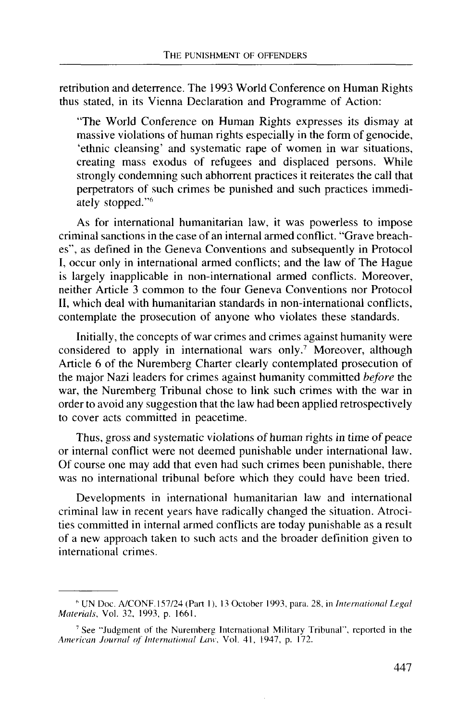retribution and deterrence. The 1993 World Conference on Human Rights thus stated, in its Vienna Declaration and Programme of Action:

"The World Conference on Human Rights expresses its dismay at massive violations of human rights especially in the form of genocide, 'ethnic cleansing' and systematic rape of women in war situations, creating mass exodus of refugees and displaced persons. While strongly condemning such abhorrent practices it reiterates the call that perpetrators of such crimes be punished and such practices immediately stopped."<sup>6</sup>

As for international humanitarian law, it was powerless to impose criminal sanctions in the case of an internal armed conflict. "Grave breaches", as defined in the Geneva Conventions and subsequently in Protocol I, occur only in international armed conflicts; and the law of The Hague is largely inapplicable in non-international armed conflicts. Moreover, neither Article 3 common to the four Geneva Conventions nor Protocol II, which deal with humanitarian standards in non-international conflicts, contemplate the prosecution of anyone who violates these standards.

Initially, the concepts of war crimes and crimes against humanity were considered to apply in international wars only.<sup>7</sup> Moreover, although Article 6 of the Nuremberg Charter clearly contemplated prosecution of the major Nazi leaders for crimes against humanity committed *before* the war, the Nuremberg Tribunal chose to link such crimes with the war in order to avoid any suggestion that the law had been applied retrospectively to cover acts committed in peacetime.

Thus, gross and systematic violations of human rights in time of peace or internal conflict were not deemed punishable under international law. Of course one may add that even had such crimes been punishable, there was no international tribunal before which they could have been tried.

Developments in international humanitarian law and international criminal law in recent years have radically changed the situation. Atrocities committed in internal armed conflicts are today punishable as a result of a new approach taken to such acts and the broader definition given to international crimes.

*<sup>&</sup>quot;* UN Doc. A/CONF. 157/24 (Part 1). 13 October 1993, para. 28, in *International Legal Materials,* Vol. 32, 1993, p. 1661.

<sup>&</sup>lt;sup>7</sup> See "Judgment of the Nuremberg International Military Tribunal", reported in the *American Journal of International Law,* Vol. 41, 1947, p. 172.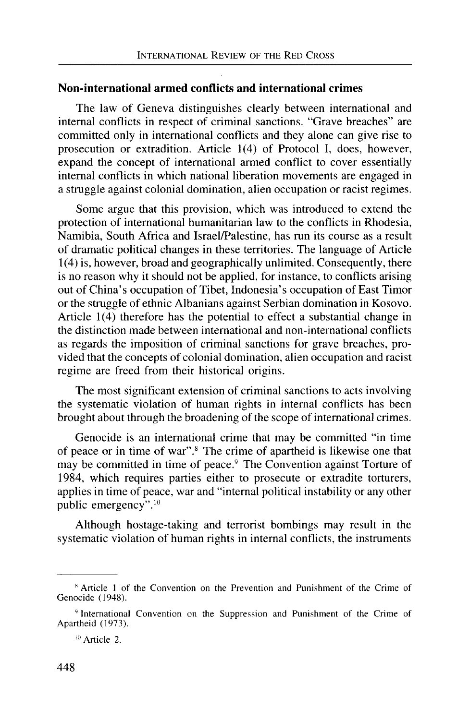## **Non-international armed conflicts and international crimes**

The law of Geneva distinguishes clearly between international and internal conflicts in respect of criminal sanctions. "Grave breaches" are committed only in international conflicts and they alone can give rise to prosecution or extradition. Article 1(4) of Protocol I, does, however, expand the concept of international armed conflict to cover essentially internal conflicts in which national liberation movements are engaged in a struggle against colonial domination, alien occupation or racist regimes.

Some argue that this provision, which was introduced to extend the protection of international humanitarian law to the conflicts in Rhodesia, Namibia, South Africa and Israel/Palestine, has run its course as a result of dramatic political changes in these territories. The language of Article 1(4) is, however, broad and geographically unlimited. Consequently, there is no reason why it should not be applied, for instance, to conflicts arising out of China's occupation of Tibet, Indonesia's occupation of East Timor or the struggle of ethnic Albanians against Serbian domination in Kosovo. Article 1(4) therefore has the potential to effect a substantial change in the distinction made between international and non-international conflicts as regards the imposition of criminal sanctions for grave breaches, provided that the concepts of colonial domination, alien occupation and racist regime are freed from their historical origins.

The most significant extension of criminal sanctions to acts involving the systematic violation of human rights in internal conflicts has been brought about through the broadening of the scope of international crimes.

Genocide is an international crime that may be committed "in time of peace or in time of war".8 The crime of apartheid is likewise one that may be committed in time of peace.<sup>9</sup> The Convention against Torture of 1984, which requires parties either to prosecute or extradite torturers, applies in time of peace, war and "internal political instability or any other public emergency".10

Although hostage-taking and terrorist bombings may result in the systematic violation of human rights in internal conflicts, the instruments

<sup>8</sup> Article 1 of the Convention on the Prevention and Punishment of the Crime of Genocide (1948).

<sup>&</sup>lt;sup>9</sup> International Convention on the Suppression and Punishment of the Crime of Apartheid (1973).

<sup>&</sup>lt;sup>10</sup> Article 2.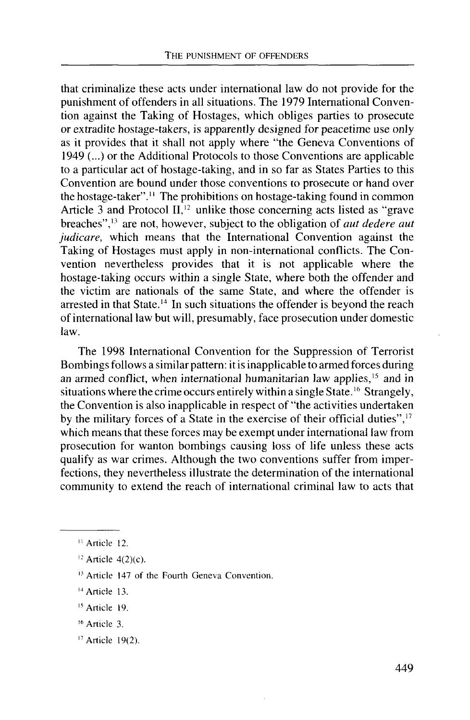that criminalize these acts under international law do not provide for the punishment of offenders in all situations. The 1979 International Convention against the Taking of Hostages, which obliges parties to prosecute or extradite hostage-takers, is apparently designed for peacetime use only as it provides that it shall not apply where "the Geneva Conventions of 1949 (...) or the Additional Protocols to those Conventions are applicable to a particular act of hostage-taking, and in so far as States Parties to this Convention are bound under those conventions to prosecute or hand over the hostage-taker"." The prohibitions on hostage-taking found in common Article 3 and Protocol  $\overline{H}$ ,<sup>12</sup> unlike those concerning acts listed as "grave breaches",<sup>13</sup> are not, however, subject to the obligation of *aut dedere aut judicare,* which means that the International Convention against the Taking of Hostages must apply in non-international conflicts. The Convention nevertheless provides that it is not applicable where the hostage-taking occurs within a single State, where both the offender and the victim are nationals of the same State, and where the offender is arrested in that State.<sup>14</sup> In such situations the offender is beyond the reach of international law but will, presumably, face prosecution under domestic law.

The 1998 International Convention for the Suppression of Terrorist Bombings follows a similar pattern: it is inapplicable to armed forces during an armed conflict, when international humanitarian law applies,<sup>15</sup> and in situations where the crime occurs entirely within a single State.<sup>16</sup> Strangely, the Convention is also inapplicable in respect of "the activities undertaken by the military forces of a State in the exercise of their official duties",<sup>17</sup> which means that these forces may be exempt under international law from prosecution for wanton bombings causing loss of life unless these acts qualify as war crimes. Although the two conventions suffer from imperfections, they nevertheless illustrate the determination of the international community to extend the reach of international criminal law to acts that

- <sup>13</sup> Article 147 of the Fourth Geneva Convention.
- 14 Article 13.
- $<sup>15</sup>$  Article 19.</sup>
- 16 Article 3.
- $17$  Article 19(2).

<sup>&</sup>lt;sup>11</sup> Article 12.

 $12$  Article 4(2)(c).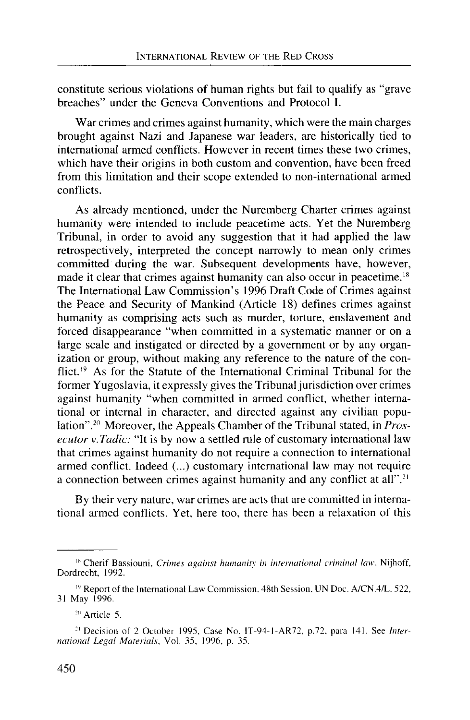constitute serious violations of human rights but fail to qualify as "grave breaches" under the Geneva Conventions and Protocol I.

War crimes and crimes against humanity, which were the main charges brought against Nazi and Japanese war leaders, are historically tied to international armed conflicts. However in recent times these two crimes, which have their origins in both custom and convention, have been freed from this limitation and their scope extended to non-international armed conflicts.

As already mentioned, under the Nuremberg Charter crimes against humanity were intended to include peacetime acts. Yet the Nuremberg Tribunal, in order to avoid any suggestion that it had applied the law retrospectively, interpreted the concept narrowly to mean only crimes committed during the war. Subsequent developments have, however, made it clear that crimes against humanity can also occur in peacetime.<sup>18</sup> The International Law Commission's 1996 Draft Code of Crimes against the Peace and Security of Mankind (Article 18) defines crimes against humanity as comprising acts such as murder, torture, enslavement and forced disappearance "when committed in a systematic manner or on a large scale and instigated or directed by a government or by any organization or group, without making any reference to the nature of the conflict.<sup>19</sup> As for the Statute of the International Criminal Tribunal for the former Yugoslavia, it expressly gives the Tribunal jurisdiction over crimes against humanity "when committed in armed conflict, whether international or internal in character, and directed against any civilian population".<sup>20</sup> Moreover, the Appeals Chamber of the Tribunal stated, in *Prosecutor v. Tadic:* "It is by now a settled rule of customary international law that crimes against humanity do not require a connection to international armed conflict. Indeed (...) customary international law may not require a connection between crimes against humanity and any conflict at all".<sup>21</sup>

By their very nature, war crimes are acts that are committed in international armed conflicts. Yet, here too, there has been a relaxation of this

<sup>18</sup> Cherif Bassiouni, *Crimes against humanity in international criminal law,* Nijhoff, Dordrecht, 1992.

<sup>&</sup>lt;sup>19</sup> Report of the International Law Commission, 48th Session, UN Doc. A/CN.4/L. 522, 31 May 1996.

<sup>20</sup> Article 5.

<sup>:</sup>i Decision of 2 October 1995, Case No. IT-94-1-AR72. p.72, para 141. See *International Legal Materials,* Vol. 35, 1996, p. 35.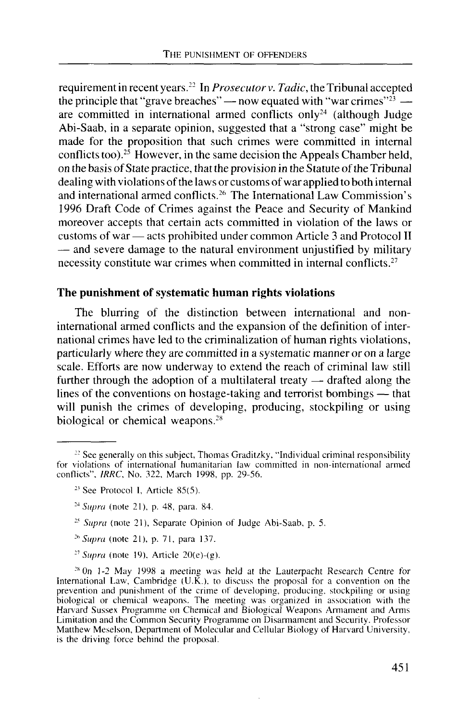requirement in recent years." In *Prosecutor* v. *Tadic,* the Tribunal accepted the principle that "grave breaches" — now equated with "war crimes"<sup>23</sup> are committed in international armed conflicts only<sup>24</sup> (although Judge Abi-Saab, in a separate opinion, suggested that a "strong case" might be made for the proposition that such crimes were committed in internal conflicts too).<sup>25</sup> However, in the same decision the Appeals Chamber held, on the basis of State practice, that the provision in the Statute of the Tribunal dealing with violations of the laws or customs of war applied to both internal and international armed conflicts.<sup>26</sup> The International Law Commission's 1996 Draft Code of Crimes against the Peace and Security of Mankind moreover accepts that certain acts committed in violation of the laws or customs of war — acts prohibited under common Article 3 and Protocol II — and severe damage to the natural environment unjustified by military necessity constitute war crimes when committed in internal conflicts.<sup>27</sup>

## **The punishment of systematic human rights violations**

The blurring of the distinction between international and noninternational armed conflicts and the expansion of the definition of international crimes have led to the criminalization of human rights violations, particularly where they are committed in a systematic manner or on a large scale. Efforts are now underway to extend the reach of criminal law still further through the adoption of a multilateral treaty — drafted along the lines of the conventions on hostage-taking and terrorist bombings — that will punish the crimes of developing, producing, stockpiling or using biological or chemical weapons.<sup>28</sup>

- <sup>25</sup> Supra (note 21), Separate Opinion of Judge Abi-Saab, p. 5.
- : " *Supra* (note 21), p. 71, para 137.
- *21 Supra* (note 19). Article 20(e)-(g).

<sup>&</sup>lt;sup>22</sup> See generally on this subject, Thomas Graditzky, "Individual criminal responsibility for violations of international humanitarian law committed in non-international armed conflicts", *IRRC,* No. 322, March 1998, pp. 29-56.

<sup>&</sup>lt;sup>23</sup> See Protocol I, Article 85(5).

*<sup>24</sup> Supra* (note 21), p. 48, para. 84.

<sup>&</sup>lt;sup>28</sup> On 1-2 May 1998 a meeting was held at the Lauterpacht Research Centre for International Law, Cambridge (U.K.). to discuss the proposal for a convention on the prevention and punishment of the crime of developing, producing, stockpiling or using biological or chemical weapons. The meeting was organized in association with the Harvard Sussex Programme on Chemical and Biological Weapons Armament and Arms Limitation and the Common Security Programme on Disarmament and Security. Professor Matthew Meselson, Department of Molecular and Cellular Biology of Harvard University, is the driving force behind the proposal.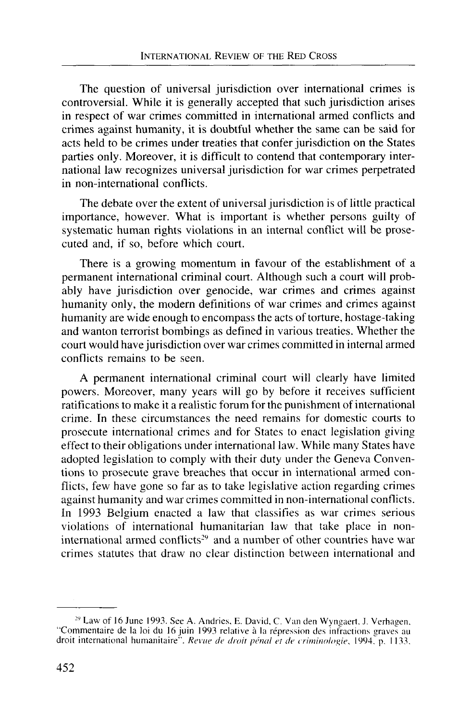The question of universal jurisdiction over international crimes is controversial. While it is generally accepted that such jurisdiction arises in respect of war crimes committed in international armed conflicts and crimes against humanity, it is doubtful whether the same can be said for acts held to be crimes under treaties that confer jurisdiction on the States parties only. Moreover, it is difficult to contend that contemporary international law recognizes universal jurisdiction for war crimes perpetrated in non-international conflicts.

The debate over the extent of universal jurisdiction is of little practical importance, however. What is important is whether persons guilty of systematic human rights violations in an internal conflict will be prosecuted and, if so, before which court.

There is a growing momentum in favour of the establishment of a permanent international criminal court. Although such a court will probably have jurisdiction over genocide, war crimes and crimes against humanity only, the modern definitions of war crimes and crimes against humanity are wide enough to encompass the acts of torture, hostage-taking and wanton terrorist bombings as defined in various treaties. Whether the court would have jurisdiction over war crimes committed in internal armed conflicts remains to be seen.

A permanent international criminal court will clearly have limited powers. Moreover, many years will go by before it receives sufficient ratifications to make it a realistic forum for the punishment of international crime. In these circumstances the need remains for domestic courts to prosecute international crimes and for States to enact legislation giving effect to their obligations under international law. While many States have adopted legislation to comply with their duty under the Geneva Conventions to prosecute grave breaches that occur in international armed conflicts, few have gone so far as to take legislative action regarding crimes against humanity and war crimes committed in non-international conflicts. In 1993 Belgium enacted a law that classifies as war crimes serious violations of international humanitarian law that take place in noninternational armed conflicts<sup>29</sup> and a number of other countries have war crimes statutes that draw no clear distinction between international and

<sup>&</sup>lt;sup>29</sup> Law of 16 June 1993. See A. Andries, E. David, C. Van den Wyngaert, J. Verhagen. "Commentaire de la loi du 16 juin 1993 relative a la repression des infractions graves au droit international humanitaire". *Revue de droit pénal et de criminologie*, 1994, p. 1133.